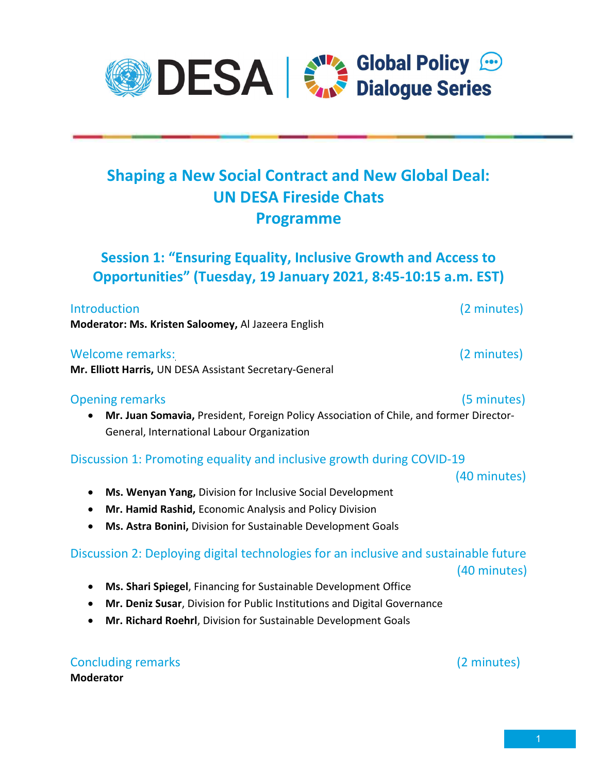# Shaping a New Social Contract and New Global Deal: UN DESA Fireside Chats Programme

Session 1: "Ensuring Equality, Inclusive Growth and Access to Opportunities" (Tuesday, 19 January 2021, 8:45-10:15 a.m. EST)

Introduction (2 minutes) Moderator: Ms. Kristen Saloomey, Al Jazeera English

### Welcome remarks: (2 minutes)

Mr. Elliott Harris, UN DESA Assistant Secretary-General

#### Opening remarks (5 minutes)

 Mr. Juan Somavia, President, Foreign Policy Association of Chile, and former Director-General, International Labour Organization

### Discussion 1: Promoting equality and inclusive growth during COVID-19

(40 minutes)

- Ms. Wenyan Yang, Division for Inclusive Social Development
- Mr. Hamid Rashid, Economic Analysis and Policy Division
- Ms. Astra Bonini, Division for Sustainable Development Goals

### Discussion 2: Deploying digital technologies for an inclusive and sustainable future (40 minutes)

- Ms. Shari Spiegel, Financing for Sustainable Development Office
- Mr. Deniz Susar, Division for Public Institutions and Digital Governance
- Mr. Richard Roehrl, Division for Sustainable Development Goals

Concluding remarks (2 minutes) Moderator